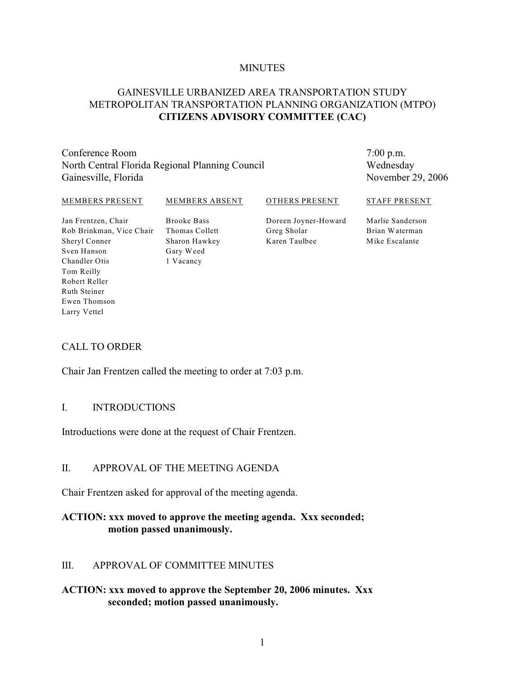#### **MINUTES**

## GAINESVILLE URBANIZED AREA TRANSPORTATION STUDY METROPOLITAN TRANSPORTATION PLANNING ORGANIZATION (MTPO) **CITIZENS ADVISORY COMMITTEE (CAC)**

Conference Room North Central Florida Regional Planning Council Gainesville, Florida

7:00 p.m. Wednesday November 29, 2006

#### MEMBERS PRESENT

#### MEMBERS ABSENT

OTHERS PRESENT

Jan Frentzen, Chair Rob Brinkman, Vice Chair Sheryl Conner Sven Hanson Chandler Otis Tom Reilly Robert Reller Ruth Steiner Ewen Thomson Larry Vettel

Brooke Bass Thomas Collett Sharon Hawkey Gary Weed 1 Vacancy

Doreen Joyner-Howard Greg Sholar Karen Taulbee

Marlie Sanderson Brian Waterman Mike Escalante

STAFF PRESENT

# CALL TO ORDER

Chair Jan Frentzen called the meeting to order at 7:03 p.m.

#### I. INTRODUCTIONS

Introductions were done at the request of Chair Frentzen.

#### II. APPROVAL OF THE MEETING AGENDA

Chair Frentzen asked for approval of the meeting agenda.

#### **ACTION: xxx moved to approve the meeting agenda. Xxx seconded; motion passed unanimously.**

#### III. APPROVAL OF COMMITTEE MINUTES

#### **ACTION: xxx moved to approve the September 20, 2006 minutes. Xxx seconded; motion passed unanimously.**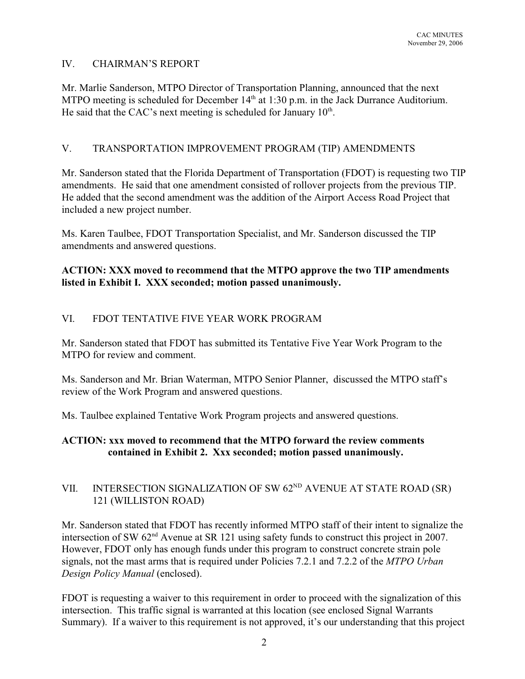# IV. CHAIRMAN'S REPORT

Mr. Marlie Sanderson, MTPO Director of Transportation Planning, announced that the next MTPO meeting is scheduled for December  $14<sup>th</sup>$  at 1:30 p.m. in the Jack Durrance Auditorium. He said that the CAC's next meeting is scheduled for January  $10<sup>th</sup>$ .

# V. TRANSPORTATION IMPROVEMENT PROGRAM (TIP) AMENDMENTS

Mr. Sanderson stated that the Florida Department of Transportation (FDOT) is requesting two TIP amendments. He said that one amendment consisted of rollover projects from the previous TIP. He added that the second amendment was the addition of the Airport Access Road Project that included a new project number.

Ms. Karen Taulbee, FDOT Transportation Specialist, and Mr. Sanderson discussed the TIP amendments and answered questions.

## **ACTION: XXX moved to recommend that the MTPO approve the two TIP amendments listed in Exhibit I. XXX seconded; motion passed unanimously.**

# VI. FDOT TENTATIVE FIVE YEAR WORK PROGRAM

Mr. Sanderson stated that FDOT has submitted its Tentative Five Year Work Program to the MTPO for review and comment.

Ms. Sanderson and Mr. Brian Waterman, MTPO Senior Planner, discussed the MTPO staff's review of the Work Program and answered questions.

Ms. Taulbee explained Tentative Work Program projects and answered questions.

# **ACTION: xxx moved to recommend that the MTPO forward the review comments contained in Exhibit 2. Xxx seconded; motion passed unanimously.**

# VII. INTERSECTION SIGNALIZATION OF SW  $62^{ND}$  AVENUE AT STATE ROAD (SR) 121 (WILLISTON ROAD)

Mr. Sanderson stated that FDOT has recently informed MTPO staff of their intent to signalize the intersection of SW  $62<sup>nd</sup>$  Avenue at SR 121 using safety funds to construct this project in 2007. However, FDOT only has enough funds under this program to construct concrete strain pole signals, not the mast arms that is required under Policies 7.2.1 and 7.2.2 of the *MTPO Urban Design Policy Manual* (enclosed).

FDOT is requesting a waiver to this requirement in order to proceed with the signalization of this intersection. This traffic signal is warranted at this location (see enclosed Signal Warrants Summary). If a waiver to this requirement is not approved, it's our understanding that this project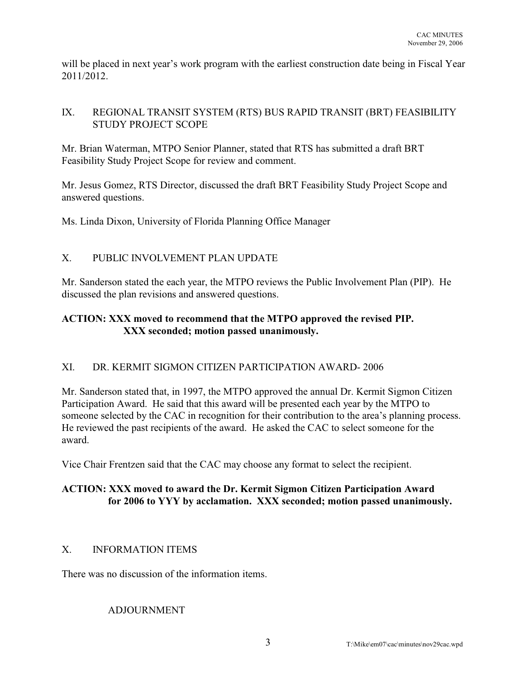will be placed in next year's work program with the earliest construction date being in Fiscal Year 2011/2012.

# IX. REGIONAL TRANSIT SYSTEM (RTS) BUS RAPID TRANSIT (BRT) FEASIBILITY STUDY PROJECT SCOPE

Mr. Brian Waterman, MTPO Senior Planner, stated that RTS has submitted a draft BRT Feasibility Study Project Scope for review and comment.

Mr. Jesus Gomez, RTS Director, discussed the draft BRT Feasibility Study Project Scope and answered questions.

Ms. Linda Dixon, University of Florida Planning Office Manager

# X. PUBLIC INVOLVEMENT PLAN UPDATE

Mr. Sanderson stated the each year, the MTPO reviews the Public Involvement Plan (PIP). He discussed the plan revisions and answered questions.

# **ACTION: XXX moved to recommend that the MTPO approved the revised PIP. XXX seconded; motion passed unanimously.**

# XI. DR. KERMIT SIGMON CITIZEN PARTICIPATION AWARD- 2006

Mr. Sanderson stated that, in 1997, the MTPO approved the annual Dr. Kermit Sigmon Citizen Participation Award. He said that this award will be presented each year by the MTPO to someone selected by the CAC in recognition for their contribution to the area's planning process. He reviewed the past recipients of the award. He asked the CAC to select someone for the award.

Vice Chair Frentzen said that the CAC may choose any format to select the recipient.

# **ACTION: XXX moved to award the Dr. Kermit Sigmon Citizen Participation Award for 2006 to YYY by acclamation. XXX seconded; motion passed unanimously.**

# X. INFORMATION ITEMS

There was no discussion of the information items.

# ADJOURNMENT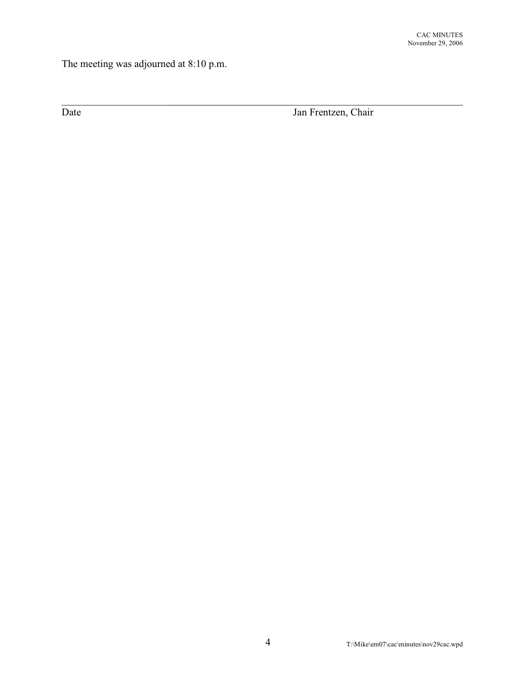The meeting was adjourned at 8:10 p.m.

Date Jan Frentzen, Chair

 $\_$  , and the set of the set of the set of the set of the set of the set of the set of the set of the set of the set of the set of the set of the set of the set of the set of the set of the set of the set of the set of th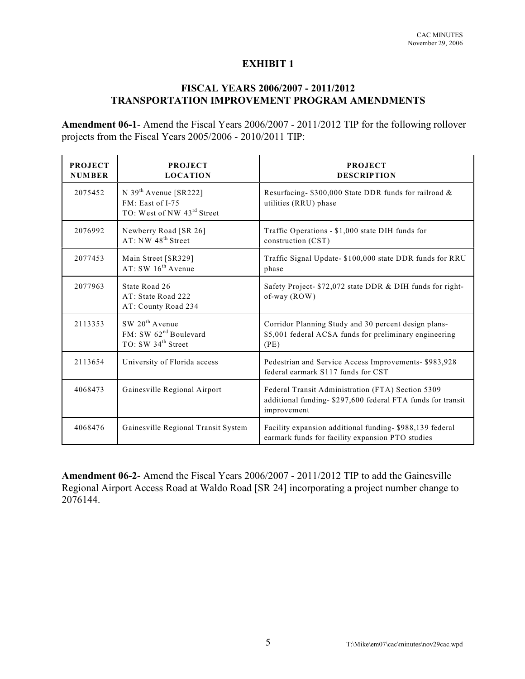## **EXHIBIT 1**

# **FISCAL YEARS 2006/2007 - 2011/2012 TRANSPORTATION IMPROVEMENT PROGRAM AMENDMENTS**

**Amendment 06-1**- Amend the Fiscal Years 2006/2007 - 2011/2012 TIP for the following rollover projects from the Fiscal Years 2005/2006 - 2010/2011 TIP:

| <b>PROJECT</b><br><b>NUMBER</b> | <b>PROJECT</b><br><b>LOCATION</b>                                                                 | <b>PROJECT</b><br><b>DESCRIPTION</b>                                                                                           |
|---------------------------------|---------------------------------------------------------------------------------------------------|--------------------------------------------------------------------------------------------------------------------------------|
| 2075452                         | N 39 <sup>th</sup> Avenue [SR222]<br>FM: East of I-75<br>TO: West of NW 43rd Street               | Resurfacing-\$300,000 State DDR funds for railroad &<br>utilities (RRU) phase                                                  |
| 2076992                         | Newberry Road [SR 26]<br>AT: NW 48 <sup>th</sup> Street                                           | Traffic Operations - \$1,000 state DIH funds for<br>construction (CST)                                                         |
| 2077453                         | Main Street [SR329]<br>AT: SW 16 <sup>th</sup> Avenue                                             | Traffic Signal Update- \$100,000 state DDR funds for RRU<br>phase                                                              |
| 2077963                         | State Road 26<br>AT: State Road 222<br>AT: County Road 234                                        | Safety Project- \$72,072 state DDR & DIH funds for right-<br>of-way (ROW)                                                      |
| 2113353                         | SW 20 <sup>th</sup> Avenue<br>FM: SW 62 <sup>nd</sup> Boulevard<br>TO: SW 34 <sup>th</sup> Street | Corridor Planning Study and 30 percent design plans-<br>\$5,001 federal ACSA funds for preliminary engineering<br>(PE)         |
| 2113654                         | University of Florida access                                                                      | Pedestrian and Service Access Improvements- \$983,928<br>federal earmark S117 funds for CST                                    |
| 4068473                         | Gainesville Regional Airport                                                                      | Federal Transit Administration (FTA) Section 5309<br>additional funding-\$297,600 federal FTA funds for transit<br>improvement |
| 4068476                         | Gainesville Regional Transit System                                                               | Facility expansion additional funding-\$988,139 federal<br>earmark funds for facility expansion PTO studies                    |

**Amendment 06-2**- Amend the Fiscal Years 2006/2007 - 2011/2012 TIP to add the Gainesville Regional Airport Access Road at Waldo Road [SR 24] incorporating a project number change to 2076144.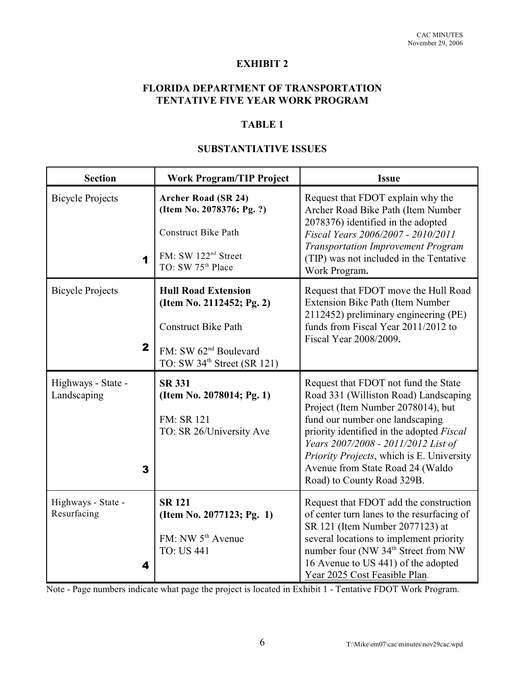# **EXHIBIT 2**

# **FLORIDA DEPARTMENT OF TRANSPORTATION TENTATIVE FIVE YEAR WORK PROGRAM**

# **TABLE 1**

## **SUBSTANTIATIVE ISSUES**

| <b>Section</b>                          | <b>Work Program/TIP Project</b>                                                                                                                                       | <b>Issue</b>                                                                                                                                                                                                                                                                                                                                              |
|-----------------------------------------|-----------------------------------------------------------------------------------------------------------------------------------------------------------------------|-----------------------------------------------------------------------------------------------------------------------------------------------------------------------------------------------------------------------------------------------------------------------------------------------------------------------------------------------------------|
| <b>Bicycle Projects</b><br>1            | <b>Archer Road (SR 24)</b><br>(Item No. 2078376; Pg. ?)<br><b>Construct Bike Path</b><br>FM: SW 122 <sup>nd</sup> Street<br>TO: SW 75 <sup>th</sup> Place             | Request that FDOT explain why the<br>Archer Road Bike Path (Item Number<br>2078376) identified in the adopted<br>Fiscal Years 2006/2007 - 2010/2011<br>Transportation Improvement Program<br>(TIP) was not included in the Tentative<br>Work Program.                                                                                                     |
| <b>Bicycle Projects</b><br>$\mathbf{2}$ | <b>Hull Road Extension</b><br>(Item No. 2112452; Pg. 2)<br><b>Construct Bike Path</b><br>FM: SW 62 <sup>nd</sup> Boulevard<br>TO: SW 34 <sup>th</sup> Street (SR 121) | Request that FDOT move the Hull Road<br>Extension Bike Path (Item Number<br>2112452) preliminary engineering (PE)<br>funds from Fiscal Year 2011/2012 to<br>Fiscal Year 2008/2009.                                                                                                                                                                        |
| Highways - State -<br>Landscaping<br>3  | <b>SR 331</b><br>(Item No. 2078014; Pg. 1)<br>FM: SR 121<br>TO: SR 26/University Ave                                                                                  | Request that FDOT not fund the State<br>Road 331 (Williston Road) Landscaping<br>Project (Item Number 2078014), but<br>fund our number one landscaping<br>priority identified in the adopted Fiscal<br>Years 2007/2008 - 2011/2012 List of<br>Priority Projects, which is E. University<br>Avenue from State Road 24 (Waldo<br>Road) to County Road 329B. |
| Highways - State -<br>Resurfacing<br>4  | <b>SR 121</b><br>(Item No. 2077123; Pg. 1)<br>FM: NW 5 <sup>th</sup> Avenue<br><b>TO: US 441</b>                                                                      | Request that FDOT add the construction<br>of center turn lanes to the resurfacing of<br>SR 121 (Item Number 2077123) at<br>several locations to implement priority<br>number four (NW 34 <sup>th</sup> Street from NW<br>16 Avenue to US 441) of the adopted<br>Year 2025 Cost Feasible Plan.                                                             |

Note - Page numbers indicate what page the project is located in Exhibit 1 - Tentative FDOT Work Program.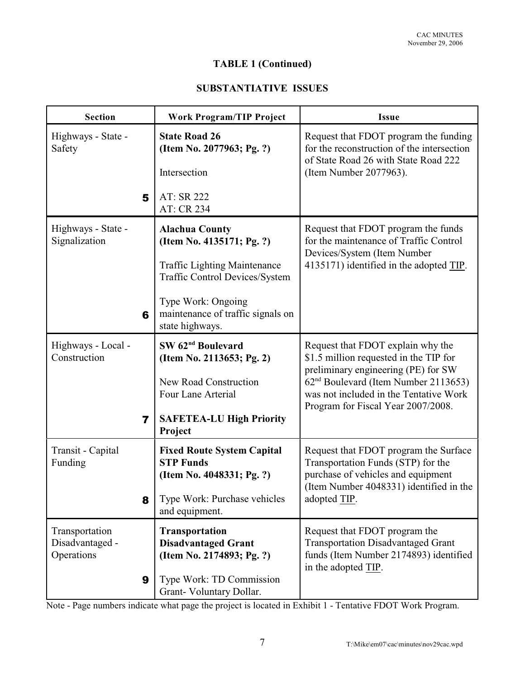# **TABLE 1 (Continued)**

# **SUBSTANTIATIVE ISSUES**

| <b>Section</b>                                  | <b>Work Program/TIP Project</b>                                                                           | <b>Issue</b>                                                                                                                                                                                                                                           |  |
|-------------------------------------------------|-----------------------------------------------------------------------------------------------------------|--------------------------------------------------------------------------------------------------------------------------------------------------------------------------------------------------------------------------------------------------------|--|
| Highways - State -<br>Safety                    | <b>State Road 26</b><br>(Item No. 2077963; Pg. ?)                                                         | Request that FDOT program the funding<br>for the reconstruction of the intersection<br>of State Road 26 with State Road 222                                                                                                                            |  |
|                                                 | Intersection                                                                                              | (Item Number 2077963).                                                                                                                                                                                                                                 |  |
| 5                                               | AT: SR 222<br>AT: CR 234                                                                                  |                                                                                                                                                                                                                                                        |  |
| Highways - State -<br>Signalization             | <b>Alachua County</b><br>(Item No. 4135171; Pg. ?)                                                        | Request that FDOT program the funds<br>for the maintenance of Traffic Control                                                                                                                                                                          |  |
|                                                 | <b>Traffic Lighting Maintenance</b><br><b>Traffic Control Devices/System</b>                              | Devices/System (Item Number<br>4135171) identified in the adopted TIP.                                                                                                                                                                                 |  |
| 6                                               | Type Work: Ongoing<br>maintenance of traffic signals on<br>state highways.                                |                                                                                                                                                                                                                                                        |  |
| Highways - Local -<br>Construction              | SW 62 <sup>nd</sup> Boulevard<br>(Item No. 2113653; Pg. 2)<br>New Road Construction<br>Four Lane Arterial | Request that FDOT explain why the<br>\$1.5 million requested in the TIP for<br>preliminary engineering (PE) for SW<br>62 <sup>nd</sup> Boulevard (Item Number 2113653)<br>was not included in the Tentative Work<br>Program for Fiscal Year 2007/2008. |  |
| 7                                               | <b>SAFETEA-LU High Priority</b><br>Project                                                                |                                                                                                                                                                                                                                                        |  |
| Transit - Capital<br>Funding                    | <b>Fixed Route System Capital</b><br><b>STP Funds</b><br>(Item No. 4048331; Pg. ?)                        | Request that FDOT program the Surface<br>Transportation Funds (STP) for the<br>purchase of vehicles and equipment<br>(Item Number 4048331) identified in the                                                                                           |  |
| 8                                               | Type Work: Purchase vehicles<br>and equipment.                                                            | adopted TIP.                                                                                                                                                                                                                                           |  |
| Transportation<br>Disadvantaged -<br>Operations | <b>Transportation</b><br><b>Disadvantaged Grant</b><br>(Item No. 2174893; Pg. ?)                          | Request that FDOT program the<br><b>Transportation Disadvantaged Grant</b><br>funds (Item Number 2174893) identified<br>in the adopted TIP.                                                                                                            |  |
| 9                                               | Type Work: TD Commission<br>Grant-Voluntary Dollar.                                                       |                                                                                                                                                                                                                                                        |  |

Note - Page numbers indicate what page the project is located in Exhibit 1 - Tentative FDOT Work Program.